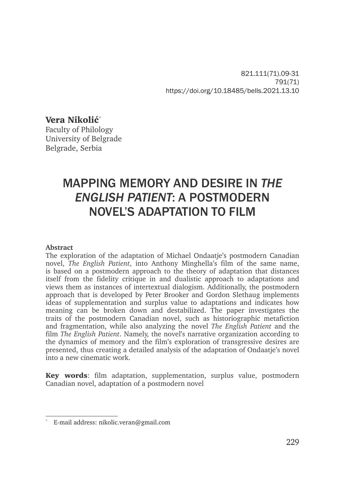821.111(71).09-31 791(71) https://doi.org/10.18485/bells.2021.13.10

Vera Nikolić\*

Faculty of Philology University of Belgrade Belgrade, Serbia

# MAPPING MEMORY AND DESIRE IN *THE ENGLISH PATIENT*: A POSTMODERN NOVEL'S ADAPTATION TO FILM

#### **Abstract**

The exploration of the adaptation of Michael Ondaatje's postmodern Canadian novel, *The English Patient*, into Anthony Minghella's film of the same name, is based on a postmodern approach to the theory of adaptation that distances itself from the fidelity critique in and dualistic approach to adaptations and views them as instances of intertextual dialogism. Additionally, the postmodern approach that is developed by Peter Brooker and Gordon Slethaug implements ideas of supplementation and surplus value to adaptations and indicates how meaning can be broken down and destabilized. The paper investigates the traits of the postmodern Canadian novel, such as historiographic metafiction and fragmentation, while also analyzing the novel *The English Patient* and the film *The English Patient*. Namely, the novel's narrative organization according to the dynamics of memory and the film's exploration of transgressive desires are presented, thus creating a detailed analysis of the adaptation of Ondaatje's novel into a new cinematic work.

Key words: film adaptation, supplementation, surplus value, postmodern Canadian novel, adaptation of a postmodern novel

<sup>\*</sup> E-mail address: nikolic.veran@gmail.com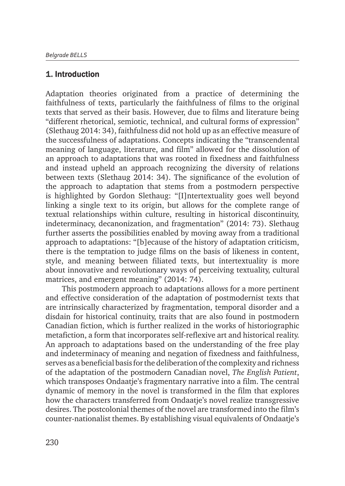#### 1. Introduction

Adaptation theories originated from a practice of determining the faithfulness of texts, particularly the faithfulness of films to the original texts that served as their basis. However, due to films and literature being "different rhetorical, semiotic, technical, and cultural forms of expression" (Slethaug 2014: 34), faithfulness did not hold up as an effective measure of the successfulness of adaptations. Concepts indicating the "transcendental meaning of language, literature, and film" allowed for the dissolution of an approach to adaptations that was rooted in fixedness and faithfulness and instead upheld an approach recognizing the diversity of relations between texts (Slethaug 2014: 34). The significance of the evolution of the approach to adaptation that stems from a postmodern perspective is highlighted by Gordon Slethaug: "[I]ntertextuality goes well beyond linking a single text to its origin, but allows for the complete range of textual relationships within culture, resulting in historical discontinuity, indeterminacy, decanonization, and fragmentation" (2014: 73). Slethaug further asserts the possibilities enabled by moving away from a traditional approach to adaptations: "[b]ecause of the history of adaptation criticism, there is the temptation to judge films on the basis of likeness in content, style, and meaning between filiated texts, but intertextuality is more about innovative and revolutionary ways of perceiving textuality, cultural matrices, and emergent meaning" (2014: 74).

This postmodern approach to adaptations allows for a more pertinent and effective consideration of the adaptation of postmodernist texts that are intrinsically characterized by fragmentation, temporal disorder and a disdain for historical continuity, traits that are also found in postmodern Canadian fiction, which is further realized in the works of historiographic metafiction, a form that incorporates self-reflexive art and historical reality. An approach to adaptations based on the understanding of the free play and indeterminacy of meaning and negation of fixedness and faithfulness, serves as a beneficial basis for the deliberation of the complexity and richness of the adaptation of the postmodern Canadian novel, *The English Patient*, which transposes Ondaatje's fragmentary narrative into a film. The central dynamic of memory in the novel is transformed in the film that explores how the characters transferred from Ondaatje's novel realize transgressive desires. The postcolonial themes of the novel are transformed into the film's counter-nationalist themes. By establishing visual equivalents of Ondaatje's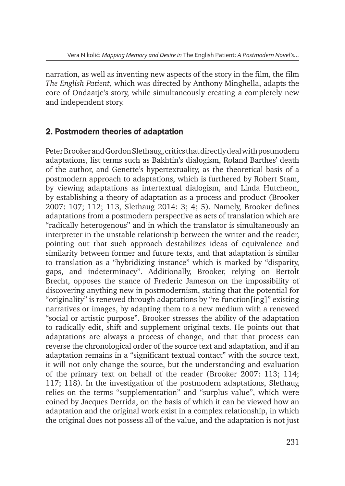narration, as well as inventing new aspects of the story in the film, the film *The English Patient*, which was directed by Anthony Minghella, adapts the core of Ondaatje's story, while simultaneously creating a completely new and independent story.

# 2. Postmodern theories of adaptation

Peter Brooker and Gordon Slethaug, critics that directly deal with postmodern adaptations, list terms such as Bakhtin's dialogism, Roland Barthes' death of the author, and Genette's hypertextuality, as the theoretical basis of a postmodern approach to adaptations, which is furthered by Robert Stam, by viewing adaptations as intertextual dialogism, and Linda Hutcheon, by establishing a theory of adaptation as a process and product (Brooker 2007: 107; 112; 113, Slethaug 2014: 3; 4; 5). Namely, Brooker defines adaptations from a postmodern perspective as acts of translation which are "radically heterogenous" and in which the translator is simultaneously an interpreter in the unstable relationship between the writer and the reader, pointing out that such approach destabilizes ideas of equivalence and similarity between former and future texts, and that adaptation is similar to translation as a "hybridizing instance" which is marked by "disparity, gaps, and indeterminacy". Additionally, Brooker, relying on Bertolt Brecht, opposes the stance of Frederic Jameson on the impossibility of discovering anything new in postmodernism, stating that the potential for "originality" is renewed through adaptations by "re-function[ing]" existing narratives or images, by adapting them to a new medium with a renewed "social or artistic purpose". Brooker stresses the ability of the adaptation to radically edit, shift and supplement original texts. He points out that adaptations are always a process of change, and that that process can reverse the chronological order of the source text and adaptation, and if an adaptation remains in a "significant textual contact" with the source text, it will not only change the source, but the understanding and evaluation of the primary text on behalf of the reader (Brooker 2007: 113; 114; 117; 118). In the investigation of the postmodern adaptations, Slethaug relies on the terms "supplementation" and "surplus value", which were coined by Jacques Derrida, on the basis of which it can be viewed how an adaptation and the original work exist in a complex relationship, in which the original does not possess all of the value, and the adaptation is not just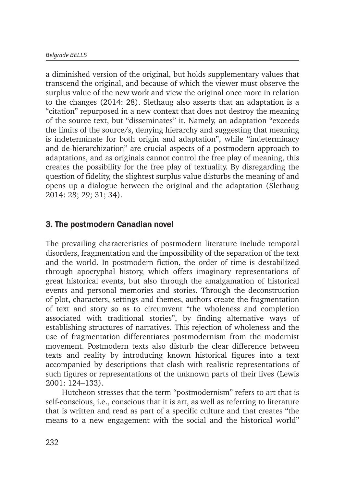a diminished version of the original, but holds supplementary values that transcend the original, and because of which the viewer must observe the surplus value of the new work and view the original once more in relation to the changes (2014: 28). Slethaug also asserts that an adaptation is a "citation" repurposed in a new context that does not destroy the meaning of the source text, but "disseminates" it. Namely, an adaptation "exceeds the limits of the source/s, denying hierarchy and suggesting that meaning is indeterminate for both origin and adaptation", while "indeterminacy and de-hierarchization" are crucial aspects of a postmodern approach to adaptations, and as originals cannot control the free play of meaning, this creates the possibility for the free play of textuality. By disregarding the question of fidelity, the slightest surplus value disturbs the meaning of and opens up a dialogue between the original and the adaptation (Slethaug 2014: 28; 29; 31; 34).

## 3. The postmodern Canadian novel

The prevailing characteristics of postmodern literature include temporal disorders, fragmentation and the impossibility of the separation of the text and the world. In postmodern fiction, the order of time is destabilized through apocryphal history, which offers imaginary representations of great historical events, but also through the amalgamation of historical events and personal memories and stories. Through the deconstruction of plot, characters, settings and themes, authors create the fragmentation of text and story so as to circumvent "the wholeness and completion associated with traditional stories", by finding alternative ways of establishing structures of narratives. This rejection of wholeness and the use of fragmentation differentiates postmodernism from the modernist movement. Postmodern texts also disturb the clear difference between texts and reality by introducing known historical figures into a text accompanied by descriptions that clash with realistic representations of such figures or representations of the unknown parts of their lives (Lewis 2001: 124–133).

Hutcheon stresses that the term "postmodernism" refers to art that is self-conscious, i.e., conscious that it is art, as well as referring to literature that is written and read as part of a specific culture and that creates "the means to a new engagement with the social and the historical world"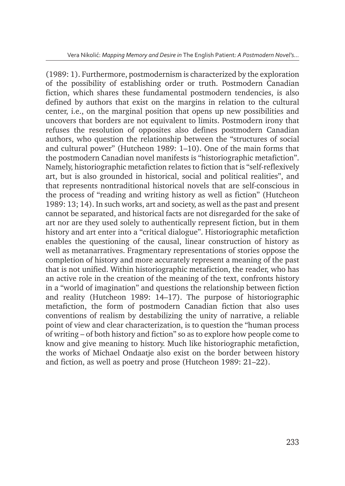(1989: 1). Furthermore, postmodernism is characterized by the exploration of the possibility of establishing order or truth. Postmodern Canadian fiction, which shares these fundamental postmodern tendencies, is also defined by authors that exist on the margins in relation to the cultural center, i.e., on the marginal position that opens up new possibilities and uncovers that borders are not equivalent to limits. Postmodern irony that refuses the resolution of opposites also defines postmodern Canadian authors, who question the relationship between the "structures of social and cultural power" (Hutcheon 1989: 1–10). One of the main forms that the postmodern Canadian novel manifests is "historiographic metafiction". Namely, historiographic metafiction relates to fiction that is "self-reflexively art, but is also grounded in historical, social and political realities", and that represents nontraditional historical novels that are self-conscious in the process of "reading and writing history as well as fiction" (Hutcheon 1989: 13; 14). In such works, art and society, as well as the past and present cannot be separated, and historical facts are not disregarded for the sake of art nor are they used solely to authentically represent fiction, but in them history and art enter into a "critical dialogue". Historiographic metafiction enables the questioning of the causal, linear construction of history as well as metanarratives. Fragmentary representations of stories oppose the completion of history and more accurately represent a meaning of the past that is not unified. Within historiographic metafiction, the reader, who has an active role in the creation of the meaning of the text, confronts history in a "world of imagination" and questions the relationship between fiction and reality (Hutcheon 1989: 14–17). The purpose of historiographic metafiction, the form of postmodern Canadian fiction that also uses conventions of realism by destabilizing the unity of narrative, a reliable point of view and clear characterization, is to question the "human process of writing – of both history and fiction" so as to explore how people come to know and give meaning to history. Much like historiographic metafiction, the works of Michael Ondaatje also exist on the border between history and fiction, as well as poetry and prose (Hutcheon 1989: 21–22).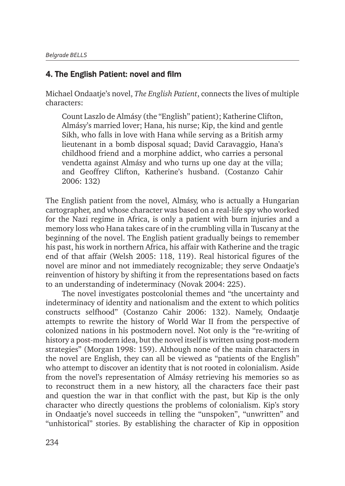## 4. The English Patient: novel and film

Michael Ondaatje's novel, *The English Patient*, connects the lives of multiple characters:

Count Laszlo de Almásy (the "English" patient); Katherine Clifton, Almásy's married lover; Hana, his nurse; Kip, the kind and gentle Sikh, who falls in love with Hana while serving as a British army lieutenant in a bomb disposal squad; David Caravaggio, Hana's childhood friend and a morphine addict, who carries a personal vendetta against Almásy and who turns up one day at the villa; and Geoffrey Clifton, Katherine's husband. (Costanzo Cahir 2006: 132)

The English patient from the novel, Almásy, who is actually a Hungarian cartographer, and whose character was based on a real-life spy who worked for the Nazi regime in Africa, is only a patient with burn injuries and a memory loss who Hana takes care of in the crumbling villa in Tuscany at the beginning of the novel. The English patient gradually beings to remember his past, his work in northern Africa, his affair with Katherine and the tragic end of that affair (Welsh 2005: 118, 119). Real historical figures of the novel are minor and not immediately recognizable; they serve Ondaatje's reinvention of history by shifting it from the representations based on facts to an understanding of indeterminacy (Novak 2004: 225).

The novel investigates postcolonial themes and "the uncertainty and indeterminacy of identity and nationalism and the extent to which politics constructs selfhood" (Costanzo Cahir 2006: 132). Namely, Ondaatje attempts to rewrite the history of World War II from the perspective of colonized nations in his postmodern novel. Not only is the "re-writing of history a post-modern idea, but the novel itself is written using post-modern strategies" (Morgan 1998: 159). Although none of the main characters in the novel are English, they can all be viewed as "patients of the English" who attempt to discover an identity that is not rooted in colonialism. Aside from the novel's representation of Almásy retrieving his memories so as to reconstruct them in a new history, all the characters face their past and question the war in that conflict with the past, but Kip is the only character who directly questions the problems of colonialism. Kip's story in Ondaatje's novel succeeds in telling the "unspoken", "unwritten" and "unhistorical" stories. By establishing the character of Kip in opposition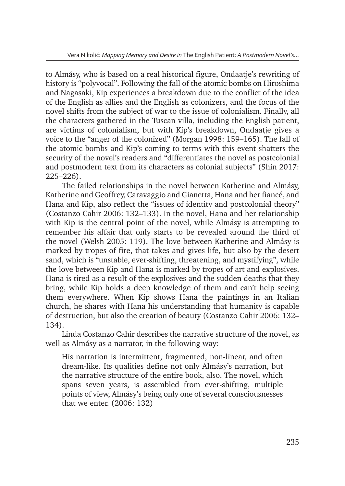to Almásy, who is based on a real historical figure, Ondaatje's rewriting of history is "polyvocal". Following the fall of the atomic bombs on Hiroshima and Nagasaki, Kip experiences a breakdown due to the conflict of the idea of the English as allies and the English as colonizers, and the focus of the novel shifts from the subject of war to the issue of colonialism. Finally, all the characters gathered in the Tuscan villa, including the English patient, are victims of colonialism, but with Kip's breakdown, Ondaatje gives a voice to the "anger of the colonized" (Morgan 1998: 159–165). The fall of the atomic bombs and Kip's coming to terms with this event shatters the security of the novel's readers and "differentiates the novel as postcolonial and postmodern text from its characters as colonial subjects" (Shin 2017: 225–226).

The failed relationships in the novel between Katherine and Almásy, Katherine and Geoffrey, Caravaggio and Gianetta, Hana and her fiancé, and Hana and Kip, also reflect the "issues of identity and postcolonial theory" (Costanzo Cahir 2006: 132–133). In the novel, Hana and her relationship with Kip is the central point of the novel, while Almásy is attempting to remember his affair that only starts to be revealed around the third of the novel (Welsh 2005: 119). The love between Katherine and Almásy is marked by tropes of fire, that takes and gives life, but also by the desert sand, which is "unstable, ever-shifting, threatening, and mystifying", while the love between Kip and Hana is marked by tropes of art and explosives. Hana is tired as a result of the explosives and the sudden deaths that they bring, while Kip holds a deep knowledge of them and can't help seeing them everywhere. When Kip shows Hana the paintings in an Italian church, he shares with Hana his understanding that humanity is capable of destruction, but also the creation of beauty (Costanzo Cahir 2006: 132– 134).

Linda Costanzo Cahir describes the narrative structure of the novel, as well as Almásy as a narrator, in the following way:

His narration is intermittent, fragmented, non-linear, and often dream-like. Its qualities define not only Almásy's narration, but the narrative structure of the entire book, also. The novel, which spans seven years, is assembled from ever-shifting, multiple points of view, Almásy's being only one of several consciousnesses that we enter. (2006: 132)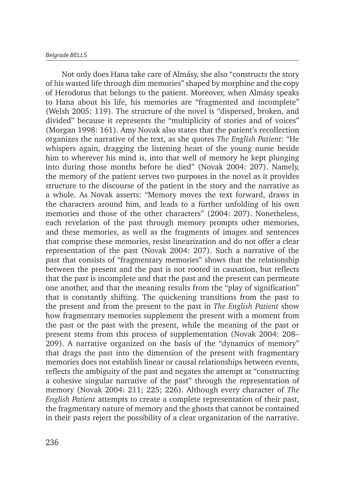Not only does Hana take care of Almásy, she also "constructs the story of his wasted life through dim memories" shaped by morphine and the copy of Herodotus that belongs to the patient. Moreover, when Almásy speaks to Hana about his life, his memories are "fragmented and incomplete" (Welsh 2005: 119). The structure of the novel is "dispersed, broken, and divided" because it represents the "multiplicity of stories and of voices" (Morgan 1998: 161). Amy Novak also states that the patient's recollection organizes the narrative of the text, as she quotes *The English Patient*: "He whispers again, dragging the listening heart of the young nurse beside him to wherever his mind is, into that well of memory he kept plunging into during those months before he died" (Novak 2004: 207). Namely, the memory of the patient serves two purposes in the novel as it provides structure to the discourse of the patient in the story and the narrative as a whole. As Novak asserts: "Memory moves the text forward, draws in the characters around him, and leads to a further unfolding of his own memories and those of the other characters" (2004: 207). Nonetheless, each revelation of the past through memory prompts other memories, and these memories, as well as the fragments of images and sentences that comprise these memories, resist linearization and do not offer a clear representation of the past (Novak 2004: 207). Such a narrative of the past that consists of "fragmentary memories" shows that the relationship between the present and the past is not rooted in causation, but reflects that the past is incomplete and that the past and the present can permeate one another, and that the meaning results from the "play of signification" that is constantly shifting. The quickening transitions from the past to the present and from the present to the past in *The English Patient* show how fragmentary memories supplement the present with a moment from the past or the past with the present, while the meaning of the past or present stems from this process of supplementation (Novak 2004: 208– 209). A narrative organized on the basis of the "dynamics of memory" that drags the past into the dimension of the present with fragmentary memories does not establish linear or causal relationships between events, reflects the ambiguity of the past and negates the attempt at "constructing a cohesive singular narrative of the past" through the representation of memory (Novak 2004: 211; 225; 226). Although every character of *The English Patient* attempts to create a complete representation of their past, the fragmentary nature of memory and the ghosts that cannot be contained in their pasts reject the possibility of a clear organization of the narrative.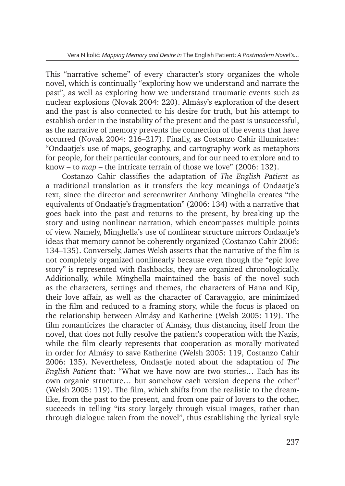This "narrative scheme" of every character's story organizes the whole novel, which is continually "exploring how we understand and narrate the past", as well as exploring how we understand traumatic events such as nuclear explosions (Novak 2004: 220). Almásy's exploration of the desert and the past is also connected to his desire for truth, but his attempt to establish order in the instability of the present and the past is unsuccessful, as the narrative of memory prevents the connection of the events that have occurred (Novak 2004: 216–217). Finally, as Costanzo Cahir illuminates: "Ondaatje's use of maps, geography, and cartography work as metaphors for people, for their particular contours, and for our need to explore and to know – to *map* – the intricate terrain of those we love" (2006: 132).

Costanzo Cahir classifies the adaptation of *The English Patient* as a traditional translation as it transfers the key meanings of Ondaatje's text, since the director and screenwriter Anthony Minghella creates "the equivalents of Ondaatje's fragmentation" (2006: 134) with a narrative that goes back into the past and returns to the present, by breaking up the story and using nonlinear narration, which encompasses multiple points of view. Namely, Minghella's use of nonlinear structure mirrors Ondaatje's ideas that memory cannot be coherently organized (Costanzo Cahir 2006: 134–135). Conversely, James Welsh asserts that the narrative of the film is not completely organized nonlinearly because even though the "epic love story" is represented with flashbacks, they are organized chronologically. Additionally, while Minghella maintained the basis of the novel such as the characters, settings and themes, the characters of Hana and Kip, their love affair, as well as the character of Caravaggio, are minimized in the film and reduced to a framing story, while the focus is placed on the relationship between Almásy and Katherine (Welsh 2005: 119). The film romanticizes the character of Almásy, thus distancing itself from the novel, that does not fully resolve the patient's cooperation with the Nazis, while the film clearly represents that cooperation as morally motivated in order for Almásy to save Katherine (Welsh 2005: 119, Costanzo Cahir 2006: 135). Nevertheless, Ondaatje noted about the adaptation of *The English Patient* that: "What we have now are two stories… Each has its own organic structure… but somehow each version deepens the other" (Welsh 2005: 119). The film, which shifts from the realistic to the dreamlike, from the past to the present, and from one pair of lovers to the other, succeeds in telling "its story largely through visual images, rather than through dialogue taken from the novel", thus establishing the lyrical style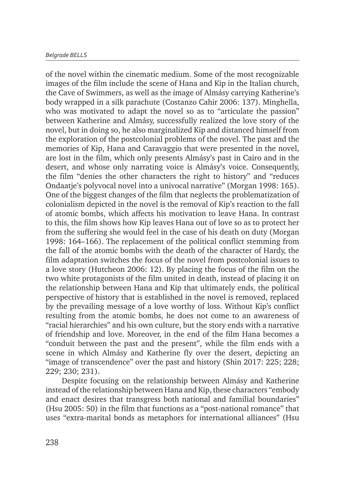of the novel within the cinematic medium. Some of the most recognizable images of the film include the scene of Hana and Kip in the Italian church, the Cave of Swimmers, as well as the image of Almásy carrying Katherine's body wrapped in a silk parachute (Costanzo Cahir 2006: 137). Minghella, who was motivated to adapt the novel so as to "articulate the passion" between Katherine and Almásy, successfully realized the love story of the novel, but in doing so, he also marginalized Kip and distanced himself from the exploration of the postcolonial problems of the novel. The past and the memories of Kip, Hana and Caravaggio that were presented in the novel, are lost in the film, which only presents Almásy's past in Cairo and in the desert, and whose only narrating voice is Almásy's voice. Consequently, the film "denies the other characters the right to history" and "reduces Ondaatje's polyvocal novel into a univocal narrative" (Morgan 1998: 165). One of the biggest changes of the film that neglects the problematization of colonialism depicted in the novel is the removal of Kip's reaction to the fall of atomic bombs, which affects his motivation to leave Hana. In contrast to this, the film shows how Kip leaves Hana out of love so as to protect her from the suffering she would feel in the case of his death on duty (Morgan 1998: 164–166). The replacement of the political conflict stemming from the fall of the atomic bombs with the death of the character of Hardy, the film adaptation switches the focus of the novel from postcolonial issues to a love story (Hutcheon 2006: 12). By placing the focus of the film on the two white protagonists of the film united in death, instead of placing it on the relationship between Hana and Kip that ultimately ends, the political perspective of history that is established in the novel is removed, replaced by the prevailing message of a love worthy of loss. Without Kip's conflict resulting from the atomic bombs, he does not come to an awareness of "racial hierarchies" and his own culture, but the story ends with a narrative of friendship and love. Moreover, in the end of the film Hana becomes a "conduit between the past and the present", while the film ends with a scene in which Almásy and Katherine fly over the desert, depicting an "image of transcendence" over the past and history (Shin 2017: 225; 228; 229; 230; 231).

Despite focusing on the relationship between Almásy and Katherine instead of the relationship between Hana and Kip, these characters "embody and enact desires that transgress both national and familial boundaries" (Hsu 2005: 50) in the film that functions as a "post-national romance" that uses "extra-marital bonds as metaphors for international alliances" (Hsu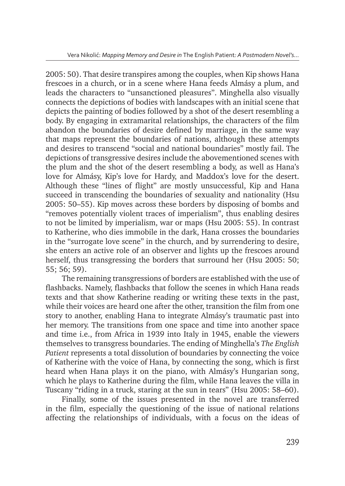2005: 50). That desire transpires among the couples, when Kip shows Hana frescoes in a church, or in a scene where Hana feeds Almásy a plum, and leads the characters to "unsanctioned pleasures". Minghella also visually connects the depictions of bodies with landscapes with an initial scene that depicts the painting of bodies followed by a shot of the desert resembling a body. By engaging in extramarital relationships, the characters of the film abandon the boundaries of desire defined by marriage, in the same way that maps represent the boundaries of nations, although these attempts and desires to transcend "social and national boundaries" mostly fail. The depictions of transgressive desires include the abovementioned scenes with the plum and the shot of the desert resembling a body, as well as Hana's love for Almásy, Kip's love for Hardy, and Maddox's love for the desert. Although these "lines of flight" are mostly unsuccessful, Kip and Hana succeed in transcending the boundaries of sexuality and nationality (Hsu 2005: 50–55). Kip moves across these borders by disposing of bombs and "removes potentially violent traces of imperialism", thus enabling desires to not be limited by imperialism, war or maps (Hsu 2005: 55). In contrast to Katherine, who dies immobile in the dark, Hana crosses the boundaries in the "surrogate love scene" in the church, and by surrendering to desire, she enters an active role of an observer and lights up the frescoes around herself, thus transgressing the borders that surround her (Hsu 2005: 50; 55; 56; 59).

The remaining transgressions of borders are established with the use of flashbacks. Namely, flashbacks that follow the scenes in which Hana reads texts and that show Katherine reading or writing these texts in the past, while their voices are heard one after the other, transition the film from one story to another, enabling Hana to integrate Almásy's traumatic past into her memory. The transitions from one space and time into another space and time i.e., from Africa in 1939 into Italy in 1945, enable the viewers themselves to transgress boundaries. The ending of Minghella's *The English Patient* represents a total dissolution of boundaries by connecting the voice of Katherine with the voice of Hana, by connecting the song, which is first heard when Hana plays it on the piano, with Almásy's Hungarian song, which he plays to Katherine during the film, while Hana leaves the villa in Tuscany "riding in a truck, staring at the sun in tears" (Hsu 2005: 58–60).

Finally, some of the issues presented in the novel are transferred in the film, especially the questioning of the issue of national relations affecting the relationships of individuals, with a focus on the ideas of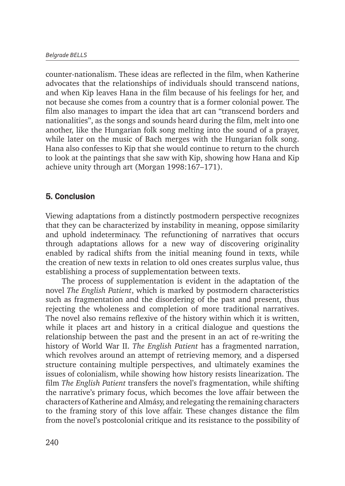counter-nationalism. These ideas are reflected in the film, when Katherine advocates that the relationships of individuals should transcend nations, and when Kip leaves Hana in the film because of his feelings for her, and not because she comes from a country that is a former colonial power. The film also manages to impart the idea that art can "transcend borders and nationalities", as the songs and sounds heard during the film, melt into one another, like the Hungarian folk song melting into the sound of a prayer, while later on the music of Bach merges with the Hungarian folk song. Hana also confesses to Kip that she would continue to return to the church to look at the paintings that she saw with Kip, showing how Hana and Kip achieve unity through art (Morgan 1998:167–171).

## 5. Conclusion

Viewing adaptations from a distinctly postmodern perspective recognizes that they can be characterized by instability in meaning, oppose similarity and uphold indeterminacy. The refunctioning of narratives that occurs through adaptations allows for a new way of discovering originality enabled by radical shifts from the initial meaning found in texts, while the creation of new texts in relation to old ones creates surplus value, thus establishing a process of supplementation between texts.

The process of supplementation is evident in the adaptation of the novel *The English Patient*, which is marked by postmodern characteristics such as fragmentation and the disordering of the past and present, thus rejecting the wholeness and completion of more traditional narratives. The novel also remains reflexive of the history within which it is written, while it places art and history in a critical dialogue and questions the relationship between the past and the present in an act of re-writing the history of World War II. *The English Patient* has a fragmented narration, which revolves around an attempt of retrieving memory, and a dispersed structure containing multiple perspectives, and ultimately examines the issues of colonialism, while showing how history resists linearization. The film *The English Patient* transfers the novel's fragmentation, while shifting the narrative's primary focus, which becomes the love affair between the characters of Katherine and Almásy, and relegating the remaining characters to the framing story of this love affair. These changes distance the film from the novel's postcolonial critique and its resistance to the possibility of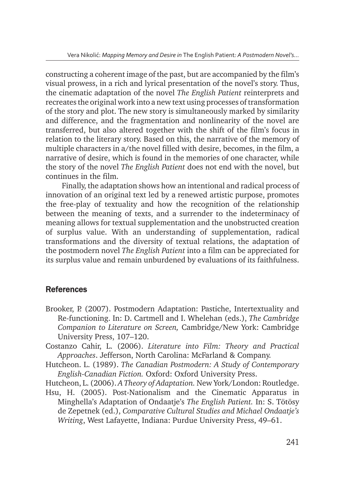constructing a coherent image of the past, but are accompanied by the film's visual prowess, in a rich and lyrical presentation of the novel's story. Thus, the cinematic adaptation of the novel *The English Patient* reinterprets and recreates the original work into a new text using processes of transformation of the story and plot. The new story is simultaneously marked by similarity and difference, and the fragmentation and nonlinearity of the novel are transferred, but also altered together with the shift of the film's focus in relation to the literary story. Based on this, the narrative of the memory of multiple characters in a/the novel filled with desire, becomes, in the film, a narrative of desire, which is found in the memories of one character, while the story of the novel *The English Patient* does not end with the novel, but continues in the film.

Finally, the adaptation shows how an intentional and radical process of innovation of an original text led by a renewed artistic purpose, promotes the free-play of textuality and how the recognition of the relationship between the meaning of texts, and a surrender to the indeterminacy of meaning allows for textual supplementation and the unobstructed creation of surplus value. With an understanding of supplementation, radical transformations and the diversity of textual relations, the adaptation of the postmodern novel *The English Patient* into a film can be appreciated for its surplus value and remain unburdened by evaluations of its faithfulness.

#### **References**

- Brooker, P. (2007). Postmodern Adaptation: Pastiche, Intertextuality and Re-functioning. In: D. Cartmell and I. Whelehan (eds.), *The Cambridge Companion to Literature on Screen,* Cambridge/New York: Cambridge University Press, 107–120.
- Costanzo Cahir, L. (2006). *Literature into Film: Theory and Practical Approaches*. Jefferson, North Carolina: McFarland & Company.
- Hutcheon. L. (1989). *The Canadian Postmodern: A Study of Contemporary English-Canadian Fiction.* Oxford: Oxford University Press.
- Hutcheon, L. (2006). *A Theory of Adaptation.* New York/London: Routledge.
- Hsu, H. (2005). Post-Nationalism and the Cinematic Apparatus in Minghella's Adaptation of Ondaatje's *The English Patient.* In: S. Tötösy de Zepetnek (ed.), *Comparative Cultural Studies and Michael Ondaatje's Writing*, West Lafayette, Indiana: Purdue University Press, 49–61.